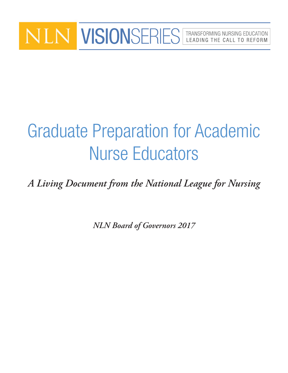## VISIONSERIES | TRANSFORMING NURSING EDUCATION LEADING THE CALL TO REFORM

# Graduate Preparation for Academic Nurse Educators

*A Living Document from the National League for Nursing* 

*NLN Board of Governors 2017*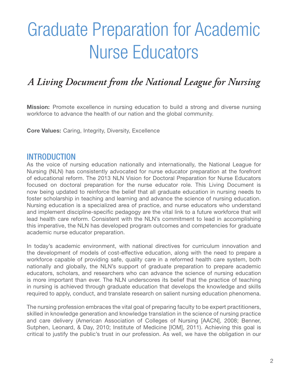# Graduate Preparation for Academic Nurse Educators

## *A Living Document from the National League for Nursing*

**Mission:** Promote excellence in nursing education to build a strong and diverse nursing workforce to advance the health of our nation and the global community.

Core Values: Caring, Integrity, Diversity, Excellence

#### INTRODUCTION

As the voice of nursing education nationally and internationally, the National League for Nursing (NLN) has consistently advocated for nurse educator preparation at the forefront of educational reform. The 2013 NLN Vision for Doctoral Preparation for Nurse Educators focused on doctoral preparation for the nurse educator role. This Living Document is now being updated to reinforce the belief that all graduate education in nursing needs to foster scholarship in teaching and learning and advance the science of nursing education. Nursing education is a specialized area of practice, and nurse educators who understand and implement discipline-specific pedagogy are the vital link to a future workforce that will lead health care reform. Consistent with the NLN's commitment to lead in accomplishing this imperative, the NLN has developed program outcomes and competencies for graduate academic nurse educator preparation.

In today's academic environment, with national directives for curriculum innovation and the development of models of cost-effective education, along with the need to prepare a workforce capable of providing safe, quality care in a reformed health care system, both nationally and globally, the NLN's support of graduate preparation to prepare academic educators, scholars, and researchers who can advance the science of nursing education is more important than ever. The NLN underscores its belief that the practice of teaching in nursing is achieved through graduate education that develops the knowledge and skills required to apply, conduct, and translate research on salient nursing education phenomena.

The nursing profession embraces the vital goal of preparing faculty to be expert practitioners, skilled in knowledge generation and knowledge translation in the science of nursing practice and care delivery (American Association of Colleges of Nursing [AACN], 2008; Benner, Sutphen, Leonard, & Day, 2010; Institute of Medicine [IOM], 2011). Achieving this goal is critical to justify the public's trust in our profession. As well, we have the obligation in our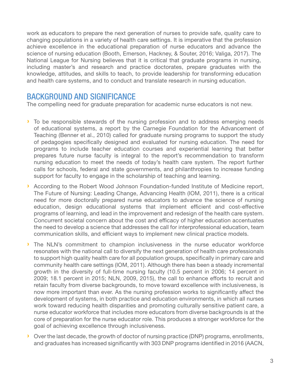work as educators to prepare the next generation of nurses to provide safe, quality care to changing populations in a variety of health care settings. It is imperative that the profession achieve excellence in the educational preparation of nurse educators and advance the science of nursing education (Booth, Emerson, Hackney, & Souter, 2016; Valiga, 2017). The National League for Nursing believes that it is critical that graduate programs in nursing, including master's and research and practice doctorates, prepare graduates with the knowledge, attitudes, and skills to teach, to provide leadership for transforming education and health care systems, and to conduct and translate research in nursing education.

#### BACKGROUND AND SIGNIFICANCE

The compelling need for graduate preparation for academic nurse educators is not new.

- › To be responsible stewards of the nursing profession and to address emerging needs of educational systems, a report by the Carnegie Foundation for the Advancement of Teaching (Benner et al., 2010) called for graduate nursing programs to support the study of pedagogies specifically designed and evaluated for nursing education. The need for programs to include teacher education courses and experiential learning that better prepares future nurse faculty is integral to the report's recommendation to transform nursing education to meet the needs of today's health care system. The report further calls for schools, federal and state governments, and philanthropies to increase funding support for faculty to engage in the scholarship of teaching and learning.
- › According to the Robert Wood Johnson Foundation-funded Institute of Medicine report, The Future of Nursing: Leading Change, Advancing Health (IOM, 2011), there is a critical need for more doctorally prepared nurse educators to advance the science of nursing education, design educational systems that implement efficient and cost-effective programs of learning, and lead in the improvement and redesign of the health care system. Concurrent societal concern about the cost and efficacy of higher education accentuates the need to develop a science that addresses the call for interprofessional education, team communication skills, and efficient ways to implement new clinical practice models.
- › The NLN's commitment to champion inclusiveness in the nurse educator workforce resonates with the national call to diversify the next generation of health care professionals to support high quality health care for all population groups, specifically in primary care and community health care settings (IOM, 2011). Although there has been a steady incremental growth in the diversity of full-time nursing faculty (10.5 percent in 2006; 14 percent in 2009; 18.1 percent in 2015; NLN, 2009, 2015), the call to enhance efforts to recruit and retain faculty from diverse backgrounds, to move toward excellence with inclusiveness, is now more important than ever. As the nursing profession works to significantly affect the development of systems, in both practice and education environments, in which all nurses work toward reducing health disparities and promoting culturally sensitive patient care, a nurse educator workforce that includes more educators from diverse backgrounds is at the core of preparation for the nurse educator role. This produces a stronger workforce for the goal of achieving excellence through inclusiveness.
- › Over the last decade, the growth of doctor of nursing practice (DNP) programs, enrollments, and graduates has increased significantly with 303 DNP programs identified in 2016 (AACN,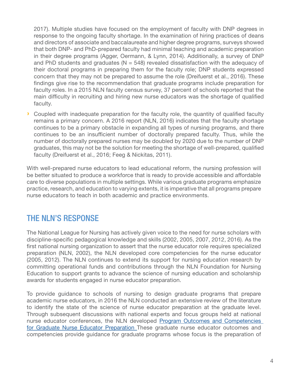2017). Multiple studies have focused on the employment of faculty with DNP degrees in response to the ongoing faculty shortage. In the examination of hiring practices of deans and directors of associate and baccalaureate and higher degree programs, surveys showed that both DNP- and PhD-prepared faculty had minimal teaching and academic preparation in their degree programs (Agger, Oermann, & Lynn, 2014). Additionally, a survey of DNP and PhD students and graduates ( $N = 548$ ) revealed dissatisfaction with the adequacy of their doctoral programs in preparing them for the faculty role; DNP students expressed concern that they may not be prepared to assume the role (Dreifuerst et al., 2016). These findings give rise to the recommendation that graduate programs include preparation for faculty roles. In a 2015 NLN faculty census survey, 37 percent of schools reported that the main difficulty in recruiting and hiring new nurse educators was the shortage of qualified faculty.

› Coupled with inadequate preparation for the faculty role, the quantity of qualified faculty remains a primary concern. A 2016 report (NLN, 2016) indicates that the faculty shortage continues to be a primary obstacle in expanding all types of nursing programs, and there continues to be an insufficient number of doctorally prepared faculty. Thus, while the number of doctorally prepared nurses may be doubled by 2020 due to the number of DNP graduates, this may not be the solution for meeting the shortage of well-prepared, qualified faculty (Dreifuerst et al., 2016; Feeg & Nickitas, 2011).

With well-prepared nurse educators to lead educational reform, the nursing profession will be better situated to produce a workforce that is ready to provide accessible and affordable care to diverse populations in multiple settings. While various graduate programs emphasize practice, research, and education to varying extents, it is imperative that all programs prepare nurse educators to teach in both academic and practice environments.

#### THE NLN'S RESPONSE

The National League for Nursing has actively given voice to the need for nurse scholars with discipline-specific pedagogical knowledge and skills (2002, 2005, 2007, 2012, 2016). As the first national nursing organization to assert that the nurse educator role requires specialized preparation (NLN, 2002), the NLN developed core competencies for the nurse educator (2005, 2012). The NLN continues to extend its support for nursing education research by committing operational funds and contributions through the NLN Foundation for Nursing Education to support grants to advance the science of nursing education and scholarship awards for students engaged in nurse educator preparation.

To provide guidance to schools of nursing to design graduate programs that prepare academic nurse educators, in 2016 the NLN conducted an extensive review of the literature to identify the state of the science of nurse educator preparation at the graduate level. Through subsequent discussions with national experts and focus groups held at national nurse educator conferences, the NLN developed Program Outcomes and Competencies for Graduate Nurse Educator Preparation These graduate nurse educator outcomes and competencies provide guidance for graduate programs whose focus is the preparation of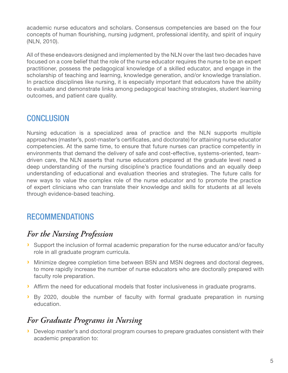academic nurse educators and scholars. Consensus competencies are based on the four concepts of human flourishing, nursing judgment, professional identity, and spirit of inquiry (NLN, 2010).

All of these endeavors designed and implemented by the NLN over the last two decades have focused on a core belief that the role of the nurse educator requires the nurse to be an expert practitioner, possess the pedagogical knowledge of a skilled educator, and engage in the scholarship of teaching and learning, knowledge generation, and/or knowledge translation. In practice disciplines like nursing, it is especially important that educators have the ability to evaluate and demonstrate links among pedagogical teaching strategies, student learning outcomes, and patient care quality.

### **CONCLUSION**

Nursing education is a specialized area of practice and the NLN supports multiple approaches (master's, post-master's certificates, and doctorate) for attaining nurse educator competencies. At the same time, to ensure that future nurses can practice competently in environments that demand the delivery of safe and cost-effective, systems-oriented, teamdriven care, the NLN asserts that nurse educators prepared at the graduate level need a deep understanding of the nursing discipline's practice foundations and an equally deep understanding of educational and evaluation theories and strategies. The future calls for new ways to value the complex role of the nurse educator and to promote the practice of expert clinicians who can translate their knowledge and skills for students at all levels through evidence-based teaching.

### RECOMMENDATIONS

### *For the Nursing Profession*

- › Support the inclusion of formal academic preparation for the nurse educator and/or faculty role in all graduate program curricula.
- › Minimize degree completion time between BSN and MSN degrees and doctoral degrees, to more rapidly increase the number of nurse educators who are doctorally prepared with faculty role preparation.
- › Affirm the need for educational models that foster inclusiveness in graduate programs.
- › By 2020, double the number of faculty with formal graduate preparation in nursing education.

### *For Graduate Programs in Nursing*

› Develop master's and doctoral program courses to prepare graduates consistent with their academic preparation to: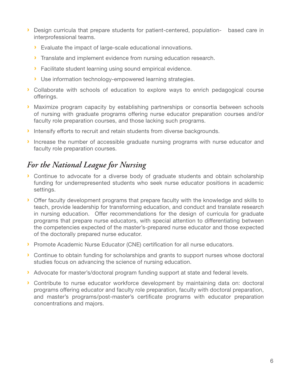- › Design curricula that prepare students for patient-centered, population- based care in interprofessional teams.
	- › Evaluate the impact of large-scale educational innovations.
	- › Translate and implement evidence from nursing education research.
	- › Facilitate student learning using sound empirical evidence.
	- › Use information technology-empowered learning strategies.
- › Collaborate with schools of education to explore ways to enrich pedagogical course offerings.
- › Maximize program capacity by establishing partnerships or consortia between schools of nursing with graduate programs offering nurse educator preparation courses and/or faculty role preparation courses, and those lacking such programs.
- › Intensify efforts to recruit and retain students from diverse backgrounds.
- › Increase the number of accessible graduate nursing programs with nurse educator and faculty role preparation courses.

### *For the National League for Nursing*

- › Continue to advocate for a diverse body of graduate students and obtain scholarship funding for underrepresented students who seek nurse educator positions in academic settings.
- › Offer faculty development programs that prepare faculty with the knowledge and skills to teach, provide leadership for transforming education, and conduct and translate research in nursing education. Offer recommendations for the design of curricula for graduate programs that prepare nurse educators, with special attention to differentiating between the competencies expected of the master's-prepared nurse educator and those expected of the doctorally prepared nurse educator.
- › Promote Academic Nurse Educator (CNE) certification for all nurse educators.
- › Continue to obtain funding for scholarships and grants to support nurses whose doctoral studies focus on advancing the science of nursing education.
- › Advocate for master's/doctoral program funding support at state and federal levels.
- › Contribute to nurse educator workforce development by maintaining data on: doctoral programs offering educator and faculty role preparation, faculty with doctoral preparation, and master's programs/post-master's certificate programs with educator preparation concentrations and majors.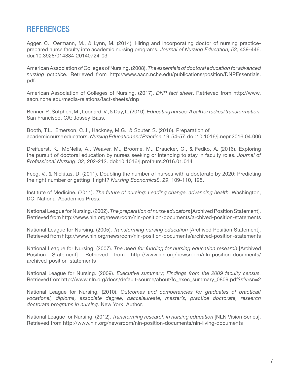#### **REFERENCES**

Agger, C., Oermann, M., & Lynn, M. (2014). Hiring and incorporating doctor of nursing practiceprepared nurse faculty into academic nursing programs. *Journal of Nursing Education, 53*, 439-446. doi:10.3928/014834-20140724-03

American Association of Colleges of Nursing. (2008). *The essentials of doctoral education for advanced nursing practice.* Retrieved from http://www.aacn.nche.edu/publications/position/DNPEssentials. pdf.

American Association of Colleges of Nursing, (2017). *DNP fact sheet*. Retrieved from http://www. aacn.nche.edu/media-relations/fact-sheets/dnp

Benner, P., Sutphen, M., Leonard, V., & Day, L. (2010). *Educating nurses: A call for radical transformation.*  San Francisco, CA: Jossey-Bass.

Booth, T.L., Emerson, C.J., Hackney, M.G., & Souter, S. (2016). Preparation of academic nurse educators. *Nursing Education and Practice,* 19, 54-57. doi: 10.1016/j.nepr.2016.04.006

Dreifuerst, K., McNelis, A., Weaver, M., Broome, M., Draucker, C., & Fedko, A. (2016). Exploring the pursuit of doctoral education by nurses seeking or intending to stay in faculty roles. *Journal of Professional Nursing*, *32*, 202-212. doi:10.1016/j.profnurs.2016.01.014

Feeg, V., & Nickitas, D. (2011). Doubling the number of nurses with a doctorate by 2020: Predicting the right number or getting it right? *Nursing Economics\$*, *29*, 109-110, 125.

Institute of Medicine. (2011). *The future of nursing: Leading change, advancing health.* Washington, DC: National Academies Press.

National League for Nursing. (2002). *The preparation of nurse educators* [Archived Position Statement]. Retrieved from http://www.nln.org/newsroom/nln-position-documents/archived-position-statements

National League for Nursing. (2005). *Transforming nursing education* [Archived Position Statement]. Retrieved from http://www.nln.org/newsroom/nln-position-documents/archived-position-statements

National League for Nursing. (2007). *The need for funding for nursing education research* [Archived Position Statement]. Retrieved from http://www.nln.org/newsroom/nln-position-documents/ archived-position-statements

National League for Nursing. (2009). *Executive summary; Findings from the 2009 faculty census.* Retrieved from http://www.nln.org/docs/default-source/about/fc\_exec\_summary\_0809.pdf?sfvrsn=2

National League for Nursing. (2010). *Outcomes and competencies for graduates of practical/ vocational, diploma, associate degree, baccalaureate, master's, practice doctorate, research doctorate programs in nursing.* New York: Author.

National League for Nursing. (2012). *Transforming research in nursing education* [NLN Vision Series]. Retrieved from http://www.nln.org/newsroom/nln-position-documents/nln-living-documents